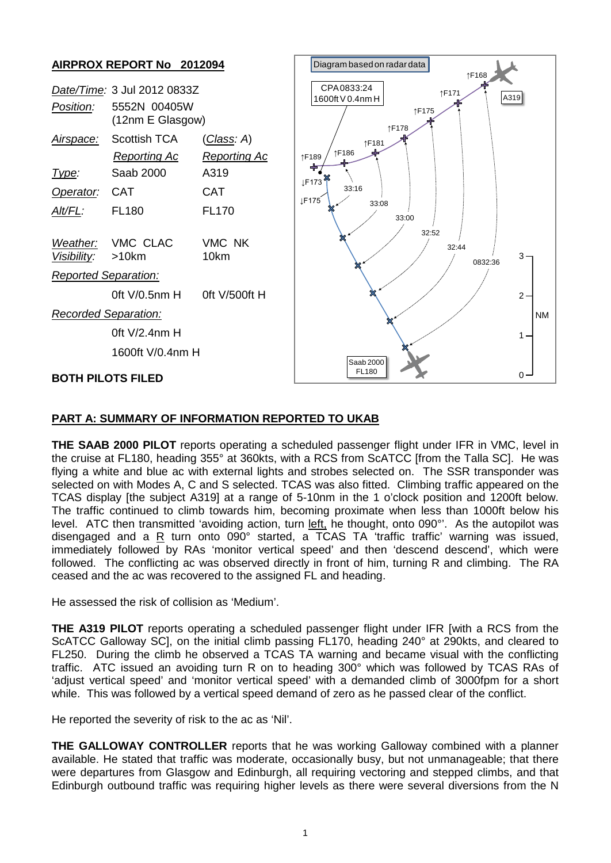

## **PART A: SUMMARY OF INFORMATION REPORTED TO UKAB**

**THE SAAB 2000 PILOT** reports operating a scheduled passenger flight under IFR in VMC, level in the cruise at FL180, heading 355° at 360kts, with a RCS from ScATCC [from the Talla SC]. He was flying a white and blue ac with external lights and strobes selected on. The SSR transponder was selected on with Modes A, C and S selected. TCAS was also fitted. Climbing traffic appeared on the TCAS display [the subject A319] at a range of 5-10nm in the 1 o'clock position and 1200ft below. The traffic continued to climb towards him, becoming proximate when less than 1000ft below his level. ATC then transmitted 'avoiding action, turn left, he thought, onto 090°'. As the autopilot was disengaged and a R turn onto 090° started, a TCAS TA 'traffic traffic' warning was issued, immediately followed by RAs 'monitor vertical speed' and then 'descend descend', which were followed. The conflicting ac was observed directly in front of him, turning R and climbing. The RA ceased and the ac was recovered to the assigned FL and heading.

He assessed the risk of collision as 'Medium'.

**THE A319 PILOT** reports operating a scheduled passenger flight under IFR [with a RCS from the ScATCC Galloway SC], on the initial climb passing FL170, heading 240° at 290kts, and cleared to FL250. During the climb he observed a TCAS TA warning and became visual with the conflicting traffic. ATC issued an avoiding turn R on to heading 300° which was followed by TCAS RAs of 'adjust vertical speed' and 'monitor vertical speed' with a demanded climb of 3000fpm for a short while. This was followed by a vertical speed demand of zero as he passed clear of the conflict.

He reported the severity of risk to the ac as 'Nil'.

**THE GALLOWAY CONTROLLER** reports that he was working Galloway combined with a planner available. He stated that traffic was moderate, occasionally busy, but not unmanageable; that there were departures from Glasgow and Edinburgh, all requiring vectoring and stepped climbs, and that Edinburgh outbound traffic was requiring higher levels as there were several diversions from the N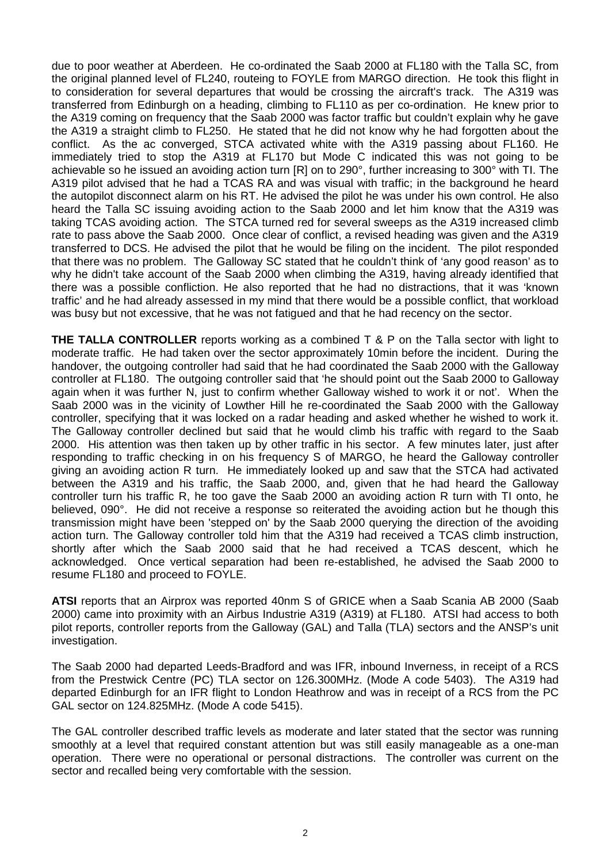due to poor weather at Aberdeen. He co-ordinated the Saab 2000 at FL180 with the Talla SC, from the original planned level of FL240, routeing to FOYLE from MARGO direction. He took this flight in to consideration for several departures that would be crossing the aircraft's track. The A319 was transferred from Edinburgh on a heading, climbing to FL110 as per co-ordination. He knew prior to the A319 coming on frequency that the Saab 2000 was factor traffic but couldn't explain why he gave the A319 a straight climb to FL250. He stated that he did not know why he had forgotten about the conflict. As the ac converged, STCA activated white with the A319 passing about FL160. He immediately tried to stop the A319 at FL170 but Mode C indicated this was not going to be achievable so he issued an avoiding action turn [R] on to 290°, further increasing to 300° with TI. The A319 pilot advised that he had a TCAS RA and was visual with traffic; in the background he heard the autopilot disconnect alarm on his RT. He advised the pilot he was under his own control. He also heard the Talla SC issuing avoiding action to the Saab 2000 and let him know that the A319 was taking TCAS avoiding action. The STCA turned red for several sweeps as the A319 increased climb rate to pass above the Saab 2000. Once clear of conflict, a revised heading was given and the A319 transferred to DCS. He advised the pilot that he would be filing on the incident. The pilot responded that there was no problem. The Galloway SC stated that he couldn't think of 'any good reason' as to why he didn't take account of the Saab 2000 when climbing the A319, having already identified that there was a possible confliction. He also reported that he had no distractions, that it was 'known traffic' and he had already assessed in my mind that there would be a possible conflict, that workload was busy but not excessive, that he was not fatigued and that he had recency on the sector.

**THE TALLA CONTROLLER** reports working as a combined T & P on the Talla sector with light to moderate traffic. He had taken over the sector approximately 10min before the incident. During the handover, the outgoing controller had said that he had coordinated the Saab 2000 with the Galloway controller at FL180. The outgoing controller said that 'he should point out the Saab 2000 to Galloway again when it was further N, just to confirm whether Galloway wished to work it or not'. When the Saab 2000 was in the vicinity of Lowther Hill he re-coordinated the Saab 2000 with the Galloway controller, specifying that it was locked on a radar heading and asked whether he wished to work it. The Galloway controller declined but said that he would climb his traffic with regard to the Saab 2000. His attention was then taken up by other traffic in his sector. A few minutes later, just after responding to traffic checking in on his frequency S of MARGO, he heard the Galloway controller giving an avoiding action R turn. He immediately looked up and saw that the STCA had activated between the A319 and his traffic, the Saab 2000, and, given that he had heard the Galloway controller turn his traffic R, he too gave the Saab 2000 an avoiding action R turn with TI onto, he believed, 090°. He did not receive a response so reiterated the avoiding action but he though this transmission might have been 'stepped on' by the Saab 2000 querying the direction of the avoiding action turn. The Galloway controller told him that the A319 had received a TCAS climb instruction, shortly after which the Saab 2000 said that he had received a TCAS descent, which he acknowledged. Once vertical separation had been re-established, he advised the Saab 2000 to resume FL180 and proceed to FOYLE.

**ATSI** reports that an Airprox was reported 40nm S of GRICE when a Saab Scania AB 2000 (Saab 2000) came into proximity with an Airbus Industrie A319 (A319) at FL180. ATSI had access to both pilot reports, controller reports from the Galloway (GAL) and Talla (TLA) sectors and the ANSP's unit investigation.

The Saab 2000 had departed Leeds-Bradford and was IFR, inbound Inverness, in receipt of a RCS from the Prestwick Centre (PC) TLA sector on 126.300MHz. (Mode A code 5403). The A319 had departed Edinburgh for an IFR flight to London Heathrow and was in receipt of a RCS from the PC GAL sector on 124.825MHz. (Mode A code 5415).

The GAL controller described traffic levels as moderate and later stated that the sector was running smoothly at a level that required constant attention but was still easily manageable as a one-man operation. There were no operational or personal distractions. The controller was current on the sector and recalled being very comfortable with the session.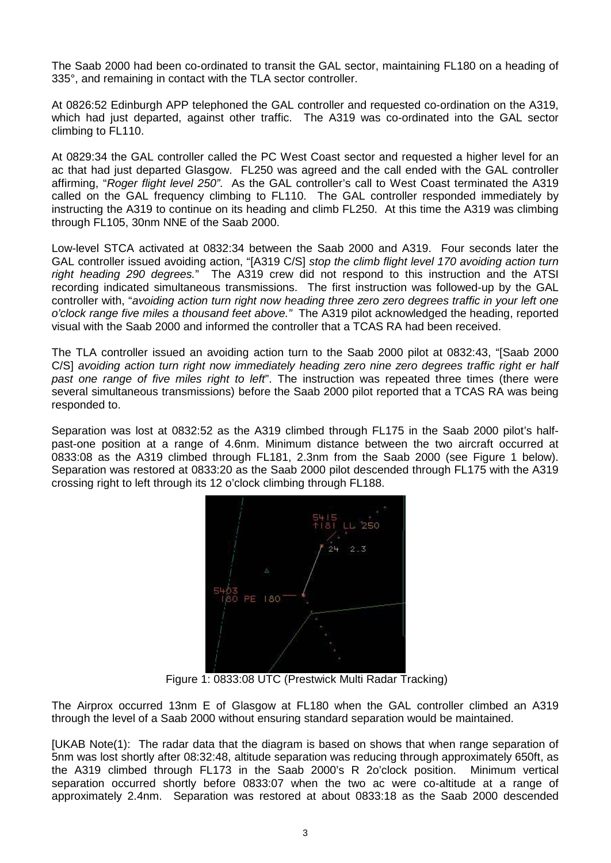The Saab 2000 had been co-ordinated to transit the GAL sector, maintaining FL180 on a heading of 335°, and remaining in contact with the TLA sector controller.

At 0826:52 Edinburgh APP telephoned the GAL controller and requested co-ordination on the A319, which had just departed, against other traffic. The A319 was co-ordinated into the GAL sector climbing to FL110.

At 0829:34 the GAL controller called the PC West Coast sector and requested a higher level for an ac that had just departed Glasgow. FL250 was agreed and the call ended with the GAL controller affirming, "*Roger flight level 250"*. As the GAL controller's call to West Coast terminated the A319 called on the GAL frequency climbing to FL110. The GAL controller responded immediately by instructing the A319 to continue on its heading and climb FL250. At this time the A319 was climbing through FL105, 30nm NNE of the Saab 2000.

Low-level STCA activated at 0832:34 between the Saab 2000 and A319. Four seconds later the GAL controller issued avoiding action, "[A319 C/S] *stop the climb flight level 170 avoiding action turn right heading 290 degrees.*" The A319 crew did not respond to this instruction and the ATSI recording indicated simultaneous transmissions. The first instruction was followed-up by the GAL controller with, "*avoiding action turn right now heading three zero zero degrees traffic in your left one o'clock range five miles a thousand feet above."* The A319 pilot acknowledged the heading, reported visual with the Saab 2000 and informed the controller that a TCAS RA had been received.

The TLA controller issued an avoiding action turn to the Saab 2000 pilot at 0832:43, "[Saab 2000 C/S] *avoiding action turn right now immediately heading zero nine zero degrees traffic right er half past one range of five miles right to left*". The instruction was repeated three times (there were several simultaneous transmissions) before the Saab 2000 pilot reported that a TCAS RA was being responded to.

Separation was lost at 0832:52 as the A319 climbed through FL175 in the Saab 2000 pilot's halfpast-one position at a range of 4.6nm. Minimum distance between the two aircraft occurred at 0833:08 as the A319 climbed through FL181, 2.3nm from the Saab 2000 (see Figure 1 below). Separation was restored at 0833:20 as the Saab 2000 pilot descended through FL175 with the A319 crossing right to left through its 12 o'clock climbing through FL188.



Figure 1: 0833:08 UTC (Prestwick Multi Radar Tracking)

The Airprox occurred 13nm E of Glasgow at FL180 when the GAL controller climbed an A319 through the level of a Saab 2000 without ensuring standard separation would be maintained.

[UKAB Note(1): The radar data that the diagram is based on shows that when range separation of 5nm was lost shortly after 08:32:48, altitude separation was reducing through approximately 650ft, as the A319 climbed through FL173 in the Saab 2000's R 2o'clock position. Minimum vertical separation occurred shortly before 0833:07 when the two ac were co-altitude at a range of approximately 2.4nm. Separation was restored at about 0833:18 as the Saab 2000 descended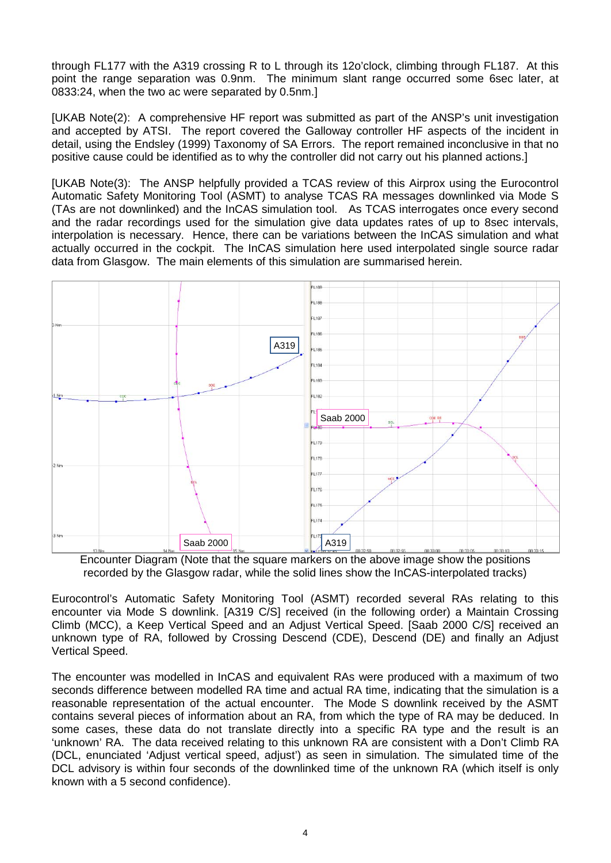through FL177 with the A319 crossing R to L through its 12o'clock, climbing through FL187. At this point the range separation was 0.9nm. The minimum slant range occurred some 6sec later, at 0833:24, when the two ac were separated by 0.5nm.]

[UKAB Note(2): A comprehensive HF report was submitted as part of the ANSP's unit investigation and accepted by ATSI. The report covered the Galloway controller HF aspects of the incident in detail, using the Endsley (1999) Taxonomy of SA Errors. The report remained inconclusive in that no positive cause could be identified as to why the controller did not carry out his planned actions.]

[UKAB Note(3): The ANSP helpfully provided a TCAS review of this Airprox using the Eurocontrol Automatic Safety Monitoring Tool (ASMT) to analyse TCAS RA messages downlinked via Mode S (TAs are not downlinked) and the InCAS simulation tool. As TCAS interrogates once every second and the radar recordings used for the simulation give data updates rates of up to 8sec intervals, interpolation is necessary. Hence, there can be variations between the InCAS simulation and what actually occurred in the cockpit. The InCAS simulation here used interpolated single source radar data from Glasgow. The main elements of this simulation are summarised herein.



Encounter Diagram (Note that the square markers on the above image show the positions recorded by the Glasgow radar, while the solid lines show the InCAS-interpolated tracks)

Eurocontrol's Automatic Safety Monitoring Tool (ASMT) recorded several RAs relating to this encounter via Mode S downlink. [A319 C/S] received (in the following order) a Maintain Crossing Climb (MCC), a Keep Vertical Speed and an Adjust Vertical Speed. [Saab 2000 C/S] received an unknown type of RA, followed by Crossing Descend (CDE), Descend (DE) and finally an Adjust Vertical Speed.

The encounter was modelled in InCAS and equivalent RAs were produced with a maximum of two seconds difference between modelled RA time and actual RA time, indicating that the simulation is a reasonable representation of the actual encounter. The Mode S downlink received by the ASMT contains several pieces of information about an RA, from which the type of RA may be deduced. In some cases, these data do not translate directly into a specific RA type and the result is an 'unknown' RA. The data received relating to this unknown RA are consistent with a Don't Climb RA (DCL, enunciated 'Adjust vertical speed, adjust') as seen in simulation. The simulated time of the DCL advisory is within four seconds of the downlinked time of the unknown RA (which itself is only known with a 5 second confidence).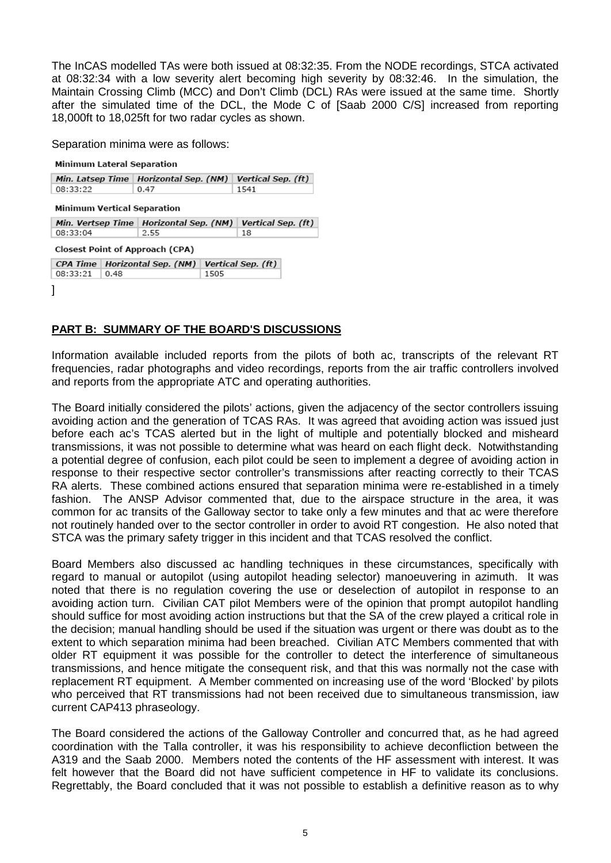The InCAS modelled TAs were both issued at 08:32:35. From the NODE recordings, STCA activated at 08:32:34 with a low severity alert becoming high severity by 08:32:46. In the simulation, the Maintain Crossing Climb (MCC) and Don't Climb (DCL) RAs were issued at the same time. Shortly after the simulated time of the DCL, the Mode C of [Saab 2000 C/S] increased from reporting 18,000ft to 18,025ft for two radar cycles as shown.

Separation minima were as follows:

**Minimum Lateral Separation** 

|          | Min. Latsep Time   Horizontal Sep. (NM)   Vertical Sep. (ft) |      |
|----------|--------------------------------------------------------------|------|
| 08:33:22 | 0.47                                                         | 1541 |

**Minimum Vertical Separation** 

|          | Min. Vertsep Time   Horizontal Sep. (NM)   Vertical Sep. (ft) |    |
|----------|---------------------------------------------------------------|----|
| 08:33:04 | 12.55                                                         | 18 |

**Closest Point of Approach (CPA)** 

|                 | CPA Time   Horizontal Sep. (NM)   Vertical Sep. (ft) |      |
|-----------------|------------------------------------------------------|------|
| $08:33:21$ 0.48 |                                                      | 1505 |
|                 |                                                      |      |

]

## **PART B: SUMMARY OF THE BOARD'S DISCUSSIONS**

Information available included reports from the pilots of both ac, transcripts of the relevant RT frequencies, radar photographs and video recordings, reports from the air traffic controllers involved and reports from the appropriate ATC and operating authorities.

The Board initially considered the pilots' actions, given the adjacency of the sector controllers issuing avoiding action and the generation of TCAS RAs. It was agreed that avoiding action was issued just before each ac's TCAS alerted but in the light of multiple and potentially blocked and misheard transmissions, it was not possible to determine what was heard on each flight deck. Notwithstanding a potential degree of confusion, each pilot could be seen to implement a degree of avoiding action in response to their respective sector controller's transmissions after reacting correctly to their TCAS RA alerts. These combined actions ensured that separation minima were re-established in a timely fashion. The ANSP Advisor commented that, due to the airspace structure in the area, it was common for ac transits of the Galloway sector to take only a few minutes and that ac were therefore not routinely handed over to the sector controller in order to avoid RT congestion. He also noted that STCA was the primary safety trigger in this incident and that TCAS resolved the conflict.

Board Members also discussed ac handling techniques in these circumstances, specifically with regard to manual or autopilot (using autopilot heading selector) manoeuvering in azimuth. It was noted that there is no regulation covering the use or deselection of autopilot in response to an avoiding action turn. Civilian CAT pilot Members were of the opinion that prompt autopilot handling should suffice for most avoiding action instructions but that the SA of the crew played a critical role in the decision; manual handling should be used if the situation was urgent or there was doubt as to the extent to which separation minima had been breached. Civilian ATC Members commented that with older RT equipment it was possible for the controller to detect the interference of simultaneous transmissions, and hence mitigate the consequent risk, and that this was normally not the case with replacement RT equipment. A Member commented on increasing use of the word 'Blocked' by pilots who perceived that RT transmissions had not been received due to simultaneous transmission, iaw current CAP413 phraseology.

The Board considered the actions of the Galloway Controller and concurred that, as he had agreed coordination with the Talla controller, it was his responsibility to achieve deconfliction between the A319 and the Saab 2000. Members noted the contents of the HF assessment with interest. It was felt however that the Board did not have sufficient competence in HF to validate its conclusions. Regrettably, the Board concluded that it was not possible to establish a definitive reason as to why